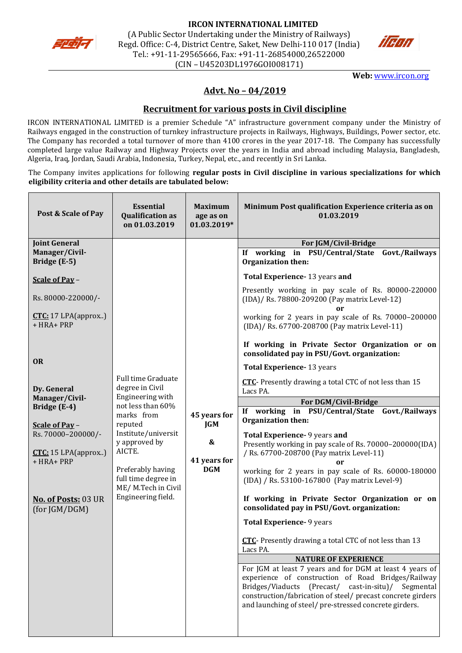



**Web:** [www.ircon.org](http://www.ircon.org/)

# **Advt. No – 04/2019**

# **Recruitment for various posts in Civil discipline**

IRCON INTERNATIONAL LIMITED is a premier Schedule "A" infrastructure government company under the Ministry of Railways engaged in the construction of turnkey infrastructure projects in Railways, Highways, Buildings, Power sector, etc. The Company has recorded a total turnover of more than 4100 crores in the year 2017-18. The Company has successfully completed large value Railway and Highway Projects over the years in India and abroad including Malaysia, Bangladesh, Algeria, Iraq, Jordan, Saudi Arabia, Indonesia, Turkey, Nepal, etc., and recently in Sri Lanka.

The Company invites applications for following **regular posts in Civil discipline in various specializations for which eligibility criteria and other details are tabulated below:**

| Post & Scale of Pay                                       | <b>Essential</b><br><b>Qualification as</b><br>on 01.03.2019                                 | <b>Maximum</b><br>age as on<br>01.03.2019*                    | Minimum Post qualification Experience criteria as on<br>01.03.2019                                                                                                                                                                                                                             |
|-----------------------------------------------------------|----------------------------------------------------------------------------------------------|---------------------------------------------------------------|------------------------------------------------------------------------------------------------------------------------------------------------------------------------------------------------------------------------------------------------------------------------------------------------|
| <b>Joint General</b>                                      |                                                                                              |                                                               | For JGM/Civil-Bridge                                                                                                                                                                                                                                                                           |
| Manager/Civil-<br>Bridge (E-5)                            |                                                                                              |                                                               | If working in PSU/Central/State Govt./Railways<br>Organization then:                                                                                                                                                                                                                           |
| Scale of Pay -                                            |                                                                                              |                                                               | Total Experience-13 years and                                                                                                                                                                                                                                                                  |
| Rs. 80000-220000/-                                        |                                                                                              |                                                               | Presently working in pay scale of Rs. 80000-220000<br>(IDA)/ Rs. 78800-209200 (Pay matrix Level-12)<br>or                                                                                                                                                                                      |
| CTC: 17 LPA(approx)<br>+ HRA+ PRP                         |                                                                                              |                                                               | working for 2 years in pay scale of Rs. 70000-200000<br>(IDA)/ Rs. 67700-208700 (Pay matrix Level-11)                                                                                                                                                                                          |
|                                                           |                                                                                              |                                                               | If working in Private Sector Organization or on<br>consolidated pay in PSU/Govt. organization:                                                                                                                                                                                                 |
| <b>OR</b>                                                 |                                                                                              |                                                               | Total Experience- 13 years                                                                                                                                                                                                                                                                     |
| Dy. General                                               | <b>Full time Graduate</b><br>degree in Civil                                                 |                                                               | CTC- Presently drawing a total CTC of not less than 15<br>Lacs PA.                                                                                                                                                                                                                             |
| Manager/Civil-                                            | Engineering with                                                                             |                                                               | For DGM/Civil-Bridge                                                                                                                                                                                                                                                                           |
| Bridge (E-4)<br>Scale of Pay -                            | not less than 60%<br>marks from<br>reputed<br>Institute/universit<br>y approved by<br>AICTE. | 45 years for<br><b>JGM</b><br>&<br>41 years for<br><b>DGM</b> | If working in PSU/Central/State Govt./Railways<br>Organization then:                                                                                                                                                                                                                           |
| Rs. 70000-200000/-<br>$CTC: 15$ LPA(approx)<br>+ HRA+ PRP |                                                                                              |                                                               | Total Experience- 9 years and<br>Presently working in pay scale of Rs. 70000-200000(IDA)<br>/ Rs. 67700-208700 (Pay matrix Level-11)<br>or                                                                                                                                                     |
|                                                           | Preferably having<br>full time degree in<br>ME/M.Tech in Civil                               |                                                               | working for 2 years in pay scale of Rs. 60000-180000<br>(IDA) / Rs. 53100-167800 (Pay matrix Level-9)                                                                                                                                                                                          |
| No. of Posts: 03 UR<br>(for JGM/DGM)                      | Engineering field.                                                                           |                                                               | If working in Private Sector Organization or on<br>consolidated pay in PSU/Govt. organization:                                                                                                                                                                                                 |
|                                                           |                                                                                              |                                                               | <b>Total Experience- 9 years</b>                                                                                                                                                                                                                                                               |
|                                                           |                                                                                              |                                                               | CTC- Presently drawing a total CTC of not less than 13<br>Lacs PA.                                                                                                                                                                                                                             |
|                                                           |                                                                                              |                                                               | <b>NATURE OF EXPERIENCE</b>                                                                                                                                                                                                                                                                    |
|                                                           |                                                                                              |                                                               | For JGM at least 7 years and for DGM at least 4 years of<br>experience of construction of Road Bridges/Railway<br>Bridges/Viaducts (Precast/ cast-in-situ)/ Segmental<br>construction/fabrication of steel/ precast concrete girders<br>and launching of steel/ pre-stressed concrete girders. |
|                                                           |                                                                                              |                                                               |                                                                                                                                                                                                                                                                                                |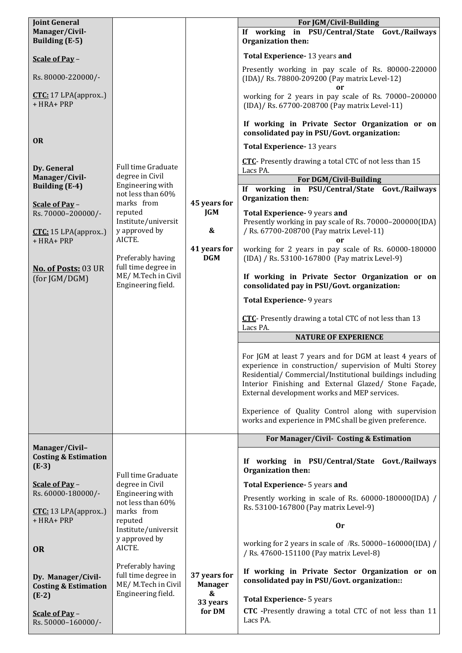| <b>Joint General</b>                              |                                              |                                | For JGM/Civil-Building                                                                                               |
|---------------------------------------------------|----------------------------------------------|--------------------------------|----------------------------------------------------------------------------------------------------------------------|
| Manager/Civil-                                    |                                              |                                | If working in PSU/Central/State Govt./Railways                                                                       |
| <b>Building (E-5)</b>                             |                                              |                                | Organization then:                                                                                                   |
| Scale of Pay -                                    |                                              |                                | Total Experience- 13 years and                                                                                       |
|                                                   |                                              |                                | Presently working in pay scale of Rs. 80000-220000                                                                   |
| Rs. 80000-220000/-                                |                                              |                                | (IDA)/ Rs. 78800-209200 (Pay matrix Level-12)<br>or                                                                  |
| $CTC: 17 LPA$ (approx)<br>+ HRA+ PRP              |                                              |                                | working for 2 years in pay scale of Rs. 70000-200000                                                                 |
|                                                   |                                              |                                | (IDA)/ Rs. 67700-208700 (Pay matrix Level-11)                                                                        |
|                                                   |                                              |                                | If working in Private Sector Organization or on<br>consolidated pay in PSU/Govt. organization:                       |
| <b>OR</b>                                         |                                              |                                | Total Experience- 13 years                                                                                           |
|                                                   |                                              |                                | CTC- Presently drawing a total CTC of not less than 15                                                               |
| Dy. General                                       | Full time Graduate<br>degree in Civil        |                                | Lacs PA.                                                                                                             |
| Manager/Civil-<br><b>Building (E-4)</b>           | Engineering with                             |                                | <b>For DGM/Civil-Building</b>                                                                                        |
|                                                   | not less than 60%                            |                                | If working in PSU/Central/State Govt./Railways<br>Organization then:                                                 |
| Scale of Pay -<br>Rs. 70000-200000/-              | marks from<br>reputed                        | 45 years for<br><b>JGM</b>     | Total Experience- 9 years and                                                                                        |
|                                                   | Institute/universit                          |                                | Presently working in pay scale of Rs. 70000-200000(IDA)                                                              |
| CTC: 15 LPA(approx)<br>+ HRA+ PRP                 | y approved by<br>AICTE.                      | $\boldsymbol{\&}$              | / Rs. 67700-208700 (Pay matrix Level-11)                                                                             |
|                                                   |                                              | 41 years for                   | working for 2 years in pay scale of Rs. 60000-180000                                                                 |
| No. of Posts: 03 UR                               | Preferably having<br>full time degree in     | <b>DGM</b>                     | (IDA) / Rs. 53100-167800 (Pay matrix Level-9)                                                                        |
| (for JGM/DGM)                                     | ME/M.Tech in Civil                           |                                | If working in Private Sector Organization or on                                                                      |
|                                                   | Engineering field.                           |                                | consolidated pay in PSU/Govt. organization:                                                                          |
|                                                   |                                              |                                | Total Experience- 9 years                                                                                            |
|                                                   |                                              |                                | CTC- Presently drawing a total CTC of not less than 13<br>Lacs PA.                                                   |
|                                                   |                                              |                                | <b>NATURE OF EXPERIENCE</b>                                                                                          |
|                                                   |                                              |                                |                                                                                                                      |
|                                                   |                                              |                                | For JGM at least 7 years and for DGM at least 4 years of                                                             |
|                                                   |                                              |                                | experience in construction/ supervision of Multi Storey<br>Residential/ Commercial/Institutional buildings including |
|                                                   |                                              |                                | Interior Finishing and External Glazed/ Stone Façade,                                                                |
|                                                   |                                              |                                | External development works and MEP services.                                                                         |
|                                                   |                                              |                                | Experience of Quality Control along with supervision                                                                 |
|                                                   |                                              |                                | works and experience in PMC shall be given preference.                                                               |
|                                                   |                                              |                                | For Manager/Civil- Costing & Estimation                                                                              |
| Manager/Civil-<br><b>Costing &amp; Estimation</b> |                                              |                                |                                                                                                                      |
| $(E-3)$                                           |                                              |                                | If working in PSU/Central/State Govt./Railways<br>Organization then:                                                 |
| Scale of Pay -                                    | <b>Full time Graduate</b><br>degree in Civil |                                | Total Experience- 5 years and                                                                                        |
| Rs. 60000-180000/-                                | Engineering with                             |                                | Presently working in scale of Rs. 60000-180000(IDA) /                                                                |
| $CTC: 13 LPA$ (approx)                            | not less than 60%<br>marks from              |                                | Rs. 53100-167800 (Pay matrix Level-9)                                                                                |
| + HRA+ PRP                                        | reputed                                      |                                | <b>Or</b>                                                                                                            |
|                                                   | Institute/universit<br>y approved by         |                                |                                                                                                                      |
| <b>OR</b>                                         | AICTE.                                       |                                | working for 2 years in scale of /Rs. 50000-160000(IDA) /<br>/ Rs. 47600-151100 (Pay matrix Level-8)                  |
|                                                   | Preferably having                            |                                | If working in Private Sector Organization or on                                                                      |
| Dy. Manager/Civil-                                | full time degree in<br>ME/M.Tech in Civil    | 37 years for<br><b>Manager</b> | consolidated pay in PSU/Govt. organization::                                                                         |
| <b>Costing &amp; Estimation</b><br>$(E-2)$        | Engineering field.                           | &                              |                                                                                                                      |
|                                                   |                                              | 33 years                       | <b>Total Experience- 5 years</b><br><b>CTC</b> -Presently drawing a total CTC of not less than 11                    |
| Scale of Pay -<br>Rs. 50000-160000/-              |                                              | for DM                         | Lacs PA.                                                                                                             |
|                                                   |                                              |                                |                                                                                                                      |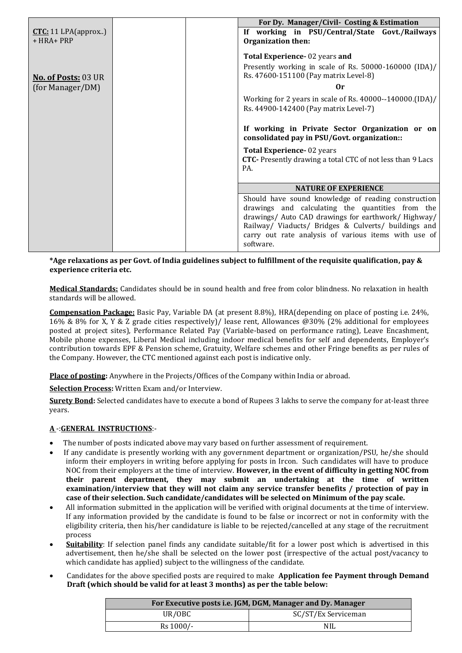|                            |                             | For Dy. Manager/Civil- Costing & Estimation                                                                  |
|----------------------------|-----------------------------|--------------------------------------------------------------------------------------------------------------|
| $CTC: 11$ LPA(approx)      |                             | If working in PSU/Central/State Govt./Railways                                                               |
| $+ HRA + PRP$              |                             | <b>Organization then:</b>                                                                                    |
|                            |                             | Total Experience-02 years and                                                                                |
|                            |                             | Presently working in scale of Rs. 50000-160000 (IDA)/                                                        |
| <b>No. of Posts: 03 UR</b> |                             | Rs. 47600-151100 (Pay matrix Level-8)                                                                        |
| (for Manager/DM)           |                             | 0r                                                                                                           |
|                            |                             | Working for 2 years in scale of Rs. 40000--140000. (IDA)/                                                    |
|                            |                             | Rs. 44900-142400 (Pay matrix Level-7)                                                                        |
|                            |                             | If working in Private Sector Organization or on<br>consolidated pay in PSU/Govt. organization::              |
|                            |                             | <b>Total Experience-02 years</b>                                                                             |
|                            |                             | CTC- Presently drawing a total CTC of not less than 9 Lacs<br>PA.                                            |
|                            |                             |                                                                                                              |
|                            | <b>NATURE OF EXPERIENCE</b> |                                                                                                              |
|                            |                             | Should have sound knowledge of reading construction                                                          |
|                            |                             | drawings and calculating the quantities from the                                                             |
|                            |                             | drawings/ Auto CAD drawings for earthwork/ Highway/                                                          |
|                            |                             | Railway/ Viaducts/ Bridges & Culverts/ buildings and<br>carry out rate analysis of various items with use of |
|                            |                             | software.                                                                                                    |

#### **\*Age relaxations as per Govt. of India guidelines subject to fulfillment of the requisite qualification, pay & experience criteria etc.**

**Medical Standards:** Candidates should be in sound health and free from color blindness. No relaxation in health standards will be allowed.

**Compensation Package:** Basic Pay, Variable DA (at present 8.8%), HRA(depending on place of posting i.e. 24%, 16% & 8% for X, Y & Z grade cities respectively)/ lease rent, Allowances @30% (2% additional for employees posted at project sites), Performance Related Pay (Variable-based on performance rating), Leave Encashment, Mobile phone expenses, Liberal Medical including indoor medical benefits for self and dependents, Employer's contribution towards EPF & Pension scheme, Gratuity, Welfare schemes and other Fringe benefits as per rules of the Company. However, the CTC mentioned against each post is indicative only.

**Place of posting:** Anywhere in the Projects/Offices of the Company within India or abroad.

**Selection Process:** Written Exam and/or Interview.

**Surety Bond:** Selected candidates have to execute a bond of Rupees 3 lakhs to serve the company for at-least three years.

### **A** -:**GENERAL INSTRUCTIONS**:-

- The number of posts indicated above may vary based on further assessment of requirement.
- If any candidate is presently working with any government department or organization/PSU, he/she should inform their employers in writing before applying for posts in Ircon. Such candidates will have to produce NOC from their employers at the time of interview. **However, in the event of difficulty in getting NOC from their parent department, they may submit an undertaking at the time of written examination/interview that they will not claim any service transfer benefits / protection of pay in case of their selection. Such candidate/candidates will be selected on Minimum of the pay scale.**
- All information submitted in the application will be verified with original documents at the time of interview. If any information provided by the candidate is found to be false or incorrect or not in conformity with the eligibility criteria, then his/her candidature is liable to be rejected/cancelled at any stage of the recruitment process
- **Suitability**: If selection panel finds any candidate suitable/fit for a lower post which is advertised in this advertisement, then he/she shall be selected on the lower post (irrespective of the actual post/vacancy to which candidate has applied) subject to the willingness of the candidate.
- Candidates for the above specified posts are required to make **Application fee Payment through Demand Draft (which should be valid for at least 3 months) as per the table below:**

| For Executive posts i.e. JGM, DGM, Manager and Dy. Manager |                     |  |
|------------------------------------------------------------|---------------------|--|
| UR/OBC                                                     | SC/ST/Ex Serviceman |  |
| Rs 1000/-                                                  | <b>NIL</b>          |  |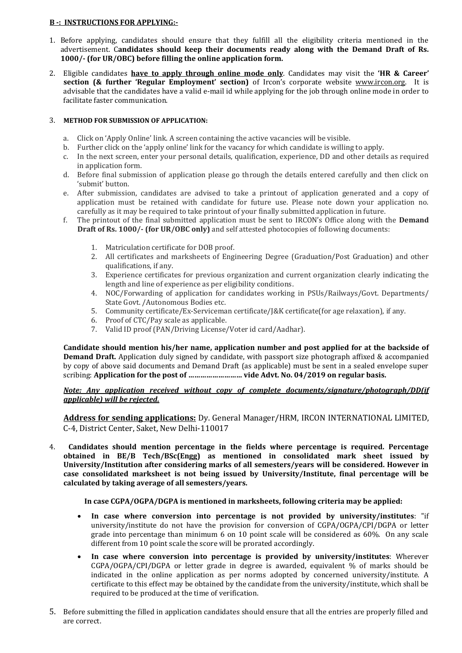### **B -: INSTRUCTIONS FOR APPLYING:-**

- 1. Before applying, candidates should ensure that they fulfill all the eligibility criteria mentioned in the advertisement. C**andidates should keep their documents ready along with the Demand Draft of Rs. 1000/- (for UR/OBC) before filling the online application form.**
- 2. Eligible candidates **have to apply through online mode only**. Candidates may visit the **'HR & Career' section (& further 'Regular Employment' section)** of Ircon's corporate website [www.ircon.org.](http://www.ircon.org/) It is advisable that the candidates have a valid e-mail id while applying for the job through online mode in order to facilitate faster communication.

### 3. **METHOD FOR SUBMISSION OF APPLICATION:**

- a. Click on 'Apply Online' link. A screen containing the active vacancies will be visible.
- b. Further click on the 'apply online' link for the vacancy for which candidate is willing to apply.
- c. In the next screen, enter your personal details, qualification, experience, DD and other details as required in application form.
- d. Before final submission of application please go through the details entered carefully and then click on 'submit' button.
- e. After submission, candidates are advised to take a printout of application generated and a copy of application must be retained with candidate for future use. Please note down your application no. carefully as it may be required to take printout of your finally submitted application in future.
- f. The printout of the final submitted application must be sent to IRCON's Office along with the **Demand Draft of Rs. 1000/- (for UR/OBC only)** and self attested photocopies of following documents:
	- 1. Matriculation certificate for DOB proof.
	- 2. All certificates and marksheets of Engineering Degree (Graduation/Post Graduation) and other qualifications, if any.
	- 3. Experience certificates for previous organization and current organization clearly indicating the length and line of experience as per eligibility conditions.
	- 4. NOC/Forwarding of application for candidates working in PSUs/Railways/Govt. Departments/ State Govt. /Autonomous Bodies etc.
	- 5. Community certificate/Ex-Serviceman certificate/J&K certificate(for age relaxation), if any.
	- 6. Proof of CTC/Pay scale as applicable.
	- 7. Valid ID proof (PAN/Driving License/Voter id card/Aadhar).

**Candidate should mention his/her name, application number and post applied for at the backside of Demand Draft.** Application duly signed by candidate, with passport size photograph affixed & accompanied by copy of above said documents and Demand Draft (as applicable) must be sent in a sealed envelope super scribing: **Application for the post of ……………………… vide Advt. No. 04/2019 on regular basis.**

*Note: Any application received without copy of complete documents/signature/photograph/DD(if applicable) will be rejected.*

**Address for sending applications:** Dy. General Manager/HRM, IRCON INTERNATIONAL LIMITED, C-4, District Center, Saket, New Delhi-110017

4. **Candidates should mention percentage in the fields where percentage is required. Percentage obtained in BE/B Tech/BSc(Engg) as mentioned in consolidated mark sheet issued by University/Institution after considering marks of all semesters/years will be considered. However in case consolidated marksheet is not being issued by University/Institute, final percentage will be calculated by taking average of all semesters/years.**

**In case CGPA/OGPA/DGPA is mentioned in marksheets, following criteria may be applied:**

- **In case where conversion into percentage is not provided by university/institutes**: "if university/institute do not have the provision for conversion of CGPA/OGPA/CPI/DGPA or letter grade into percentage than minimum 6 on 10 point scale will be considered as 60%. On any scale different from 10 point scale the score will be prorated accordingly.
- **In case where conversion into percentage is provided by university/institutes**: Wherever CGPA/OGPA/CPI/DGPA or letter grade in degree is awarded, equivalent % of marks should be indicated in the online application as per norms adopted by concerned university/institute. A certificate to this effect may be obtained by the candidate from the university/institute, which shall be required to be produced at the time of verification.
- 5. Before submitting the filled in application candidates should ensure that all the entries are properly filled and are correct.